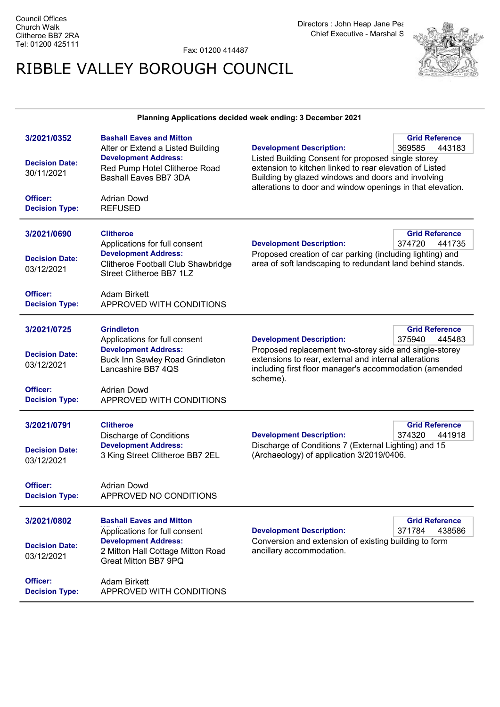Fax: 01200 414487

## RIBBLE VALLEY BOROUGH COUNCIL



## Planning Applications decided week ending: 3 December 2021

| 3/2021/0352<br><b>Decision Date:</b><br>30/11/2021<br>Officer: | <b>Bashall Eaves and Mitton</b><br>Alter or Extend a Listed Building<br><b>Development Address:</b><br>Red Pump Hotel Clitheroe Road<br>Bashall Eaves BB7 3DA<br><b>Adrian Dowd</b> | <b>Development Description:</b><br>Listed Building Consent for proposed single storey<br>extension to kitchen linked to rear elevation of Listed<br>Building by glazed windows and doors and involving<br>alterations to door and window openings in that elevation. | <b>Grid Reference</b><br>369585<br>443183 |
|----------------------------------------------------------------|-------------------------------------------------------------------------------------------------------------------------------------------------------------------------------------|----------------------------------------------------------------------------------------------------------------------------------------------------------------------------------------------------------------------------------------------------------------------|-------------------------------------------|
| <b>Decision Type:</b>                                          | <b>REFUSED</b>                                                                                                                                                                      |                                                                                                                                                                                                                                                                      |                                           |
| 3/2021/0690                                                    | <b>Clitheroe</b><br>Applications for full consent                                                                                                                                   | <b>Development Description:</b>                                                                                                                                                                                                                                      | <b>Grid Reference</b><br>374720<br>441735 |
| <b>Decision Date:</b><br>03/12/2021                            | <b>Development Address:</b><br>Clitheroe Football Club Shawbridge<br>Street Clitheroe BB7 1LZ                                                                                       | Proposed creation of car parking (including lighting) and<br>area of soft landscaping to redundant land behind stands.                                                                                                                                               |                                           |
| Officer:<br><b>Decision Type:</b>                              | <b>Adam Birkett</b><br>APPROVED WITH CONDITIONS                                                                                                                                     |                                                                                                                                                                                                                                                                      |                                           |
| 3/2021/0725                                                    | <b>Grindleton</b><br>Applications for full consent                                                                                                                                  | <b>Development Description:</b>                                                                                                                                                                                                                                      | <b>Grid Reference</b><br>375940<br>445483 |
| <b>Decision Date:</b><br>03/12/2021                            | <b>Development Address:</b><br><b>Buck Inn Sawley Road Grindleton</b><br>Lancashire BB7 4QS                                                                                         | Proposed replacement two-storey side and single-storey<br>extensions to rear, external and internal alterations<br>including first floor manager's accommodation (amended<br>scheme).                                                                                |                                           |
| Officer:<br><b>Decision Type:</b>                              | <b>Adrian Dowd</b><br>APPROVED WITH CONDITIONS                                                                                                                                      |                                                                                                                                                                                                                                                                      |                                           |
| 3/2021/0791                                                    | <b>Clitheroe</b>                                                                                                                                                                    |                                                                                                                                                                                                                                                                      | <b>Grid Reference</b>                     |
|                                                                | <b>Discharge of Conditions</b>                                                                                                                                                      | <b>Development Description:</b>                                                                                                                                                                                                                                      | 374320<br>441918                          |
| <b>Decision Date:</b><br>03/12/2021                            | <b>Development Address:</b><br>3 King Street Clitheroe BB7 2EL                                                                                                                      | Discharge of Conditions 7 (External Lighting) and 15<br>(Archaeology) of application 3/2019/0406.                                                                                                                                                                    |                                           |
| Officer:<br><b>Decision Type:</b>                              | <b>Adrian Dowd</b><br>APPROVED NO CONDITIONS                                                                                                                                        |                                                                                                                                                                                                                                                                      |                                           |
| 3/2021/0802                                                    | <b>Bashall Eaves and Mitton</b><br>Applications for full consent                                                                                                                    | <b>Development Description:</b>                                                                                                                                                                                                                                      | <b>Grid Reference</b><br>371784<br>438586 |
| <b>Decision Date:</b><br>03/12/2021                            | <b>Development Address:</b><br>2 Mitton Hall Cottage Mitton Road<br>Great Mitton BB7 9PQ                                                                                            | Conversion and extension of existing building to form<br>ancillary accommodation.                                                                                                                                                                                    |                                           |
| Officer:<br><b>Decision Type:</b>                              | <b>Adam Birkett</b><br>APPROVED WITH CONDITIONS                                                                                                                                     |                                                                                                                                                                                                                                                                      |                                           |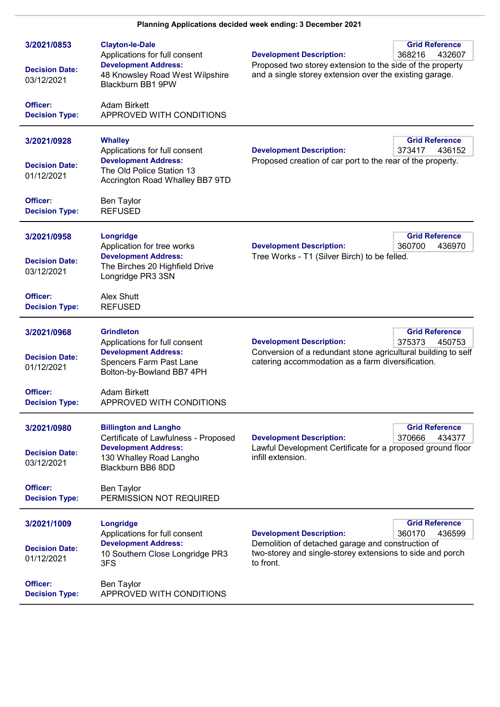| 3/2021/0853<br><b>Decision Date:</b><br>03/12/2021 | <b>Clayton-le-Dale</b><br>Applications for full consent<br><b>Development Address:</b><br>48 Knowsley Road West Wilpshire<br>Blackburn BB1 9PW      | <b>Grid Reference</b><br><b>Development Description:</b><br>368216<br>432607<br>Proposed two storey extension to the side of the property<br>and a single storey extension over the existing garage.        |
|----------------------------------------------------|-----------------------------------------------------------------------------------------------------------------------------------------------------|-------------------------------------------------------------------------------------------------------------------------------------------------------------------------------------------------------------|
| Officer:<br><b>Decision Type:</b>                  | <b>Adam Birkett</b><br>APPROVED WITH CONDITIONS                                                                                                     |                                                                                                                                                                                                             |
| 3/2021/0928<br><b>Decision Date:</b><br>01/12/2021 | <b>Whalley</b><br>Applications for full consent<br><b>Development Address:</b><br>The Old Police Station 13<br>Accrington Road Whalley BB7 9TD      | <b>Grid Reference</b><br><b>Development Description:</b><br>373417<br>436152<br>Proposed creation of car port to the rear of the property.                                                                  |
| Officer:<br><b>Decision Type:</b>                  | <b>Ben Taylor</b><br><b>REFUSED</b>                                                                                                                 |                                                                                                                                                                                                             |
| 3/2021/0958<br><b>Decision Date:</b><br>03/12/2021 | Longridge<br>Application for tree works<br><b>Development Address:</b><br>The Birches 20 Highfield Drive<br>Longridge PR3 3SN                       | <b>Grid Reference</b><br><b>Development Description:</b><br>360700<br>436970<br>Tree Works - T1 (Silver Birch) to be felled.                                                                                |
| Officer:<br><b>Decision Type:</b>                  | Alex Shutt<br><b>REFUSED</b>                                                                                                                        |                                                                                                                                                                                                             |
| 3/2021/0968<br><b>Decision Date:</b><br>01/12/2021 | <b>Grindleton</b><br>Applications for full consent<br><b>Development Address:</b><br>Spencers Farm Past Lane<br>Bolton-by-Bowland BB7 4PH           | <b>Grid Reference</b><br><b>Development Description:</b><br>375373<br>450753<br>Conversion of a redundant stone agricultural building to self<br>catering accommodation as a farm diversification.          |
| Officer:<br><b>Decision Type:</b>                  | Adam Birkett<br>APPROVED WITH CONDITIONS                                                                                                            |                                                                                                                                                                                                             |
| 3/2021/0980<br><b>Decision Date:</b><br>03/12/2021 | <b>Billington and Langho</b><br>Certificate of Lawfulness - Proposed<br><b>Development Address:</b><br>130 Whalley Road Langho<br>Blackburn BB6 8DD | <b>Grid Reference</b><br><b>Development Description:</b><br>370666<br>434377<br>Lawful Development Certificate for a proposed ground floor<br>infill extension.                                             |
| Officer:<br><b>Decision Type:</b>                  | <b>Ben Taylor</b><br>PERMISSION NOT REQUIRED                                                                                                        |                                                                                                                                                                                                             |
| 3/2021/1009<br><b>Decision Date:</b><br>01/12/2021 | Longridge<br>Applications for full consent<br><b>Development Address:</b><br>10 Southern Close Longridge PR3<br>3FS                                 | <b>Grid Reference</b><br><b>Development Description:</b><br>360170<br>436599<br>Demolition of detached garage and construction of<br>two-storey and single-storey extensions to side and porch<br>to front. |
| Officer:<br><b>Decision Type:</b>                  | Ben Taylor<br>APPROVED WITH CONDITIONS                                                                                                              |                                                                                                                                                                                                             |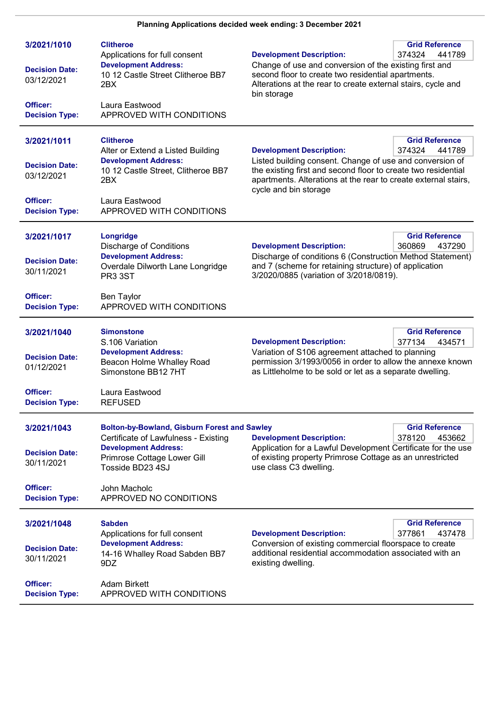| 3/2021/1010<br><b>Decision Date:</b><br>03/12/2021<br>Officer:<br><b>Decision Type:</b> | <b>Clitheroe</b><br>Applications for full consent<br><b>Development Address:</b><br>10 12 Castle Street Clitheroe BB7<br>2BX<br>Laura Eastwood<br>APPROVED WITH CONDITIONS                                              | <b>Development Description:</b><br>Change of use and conversion of the existing first and<br>second floor to create two residential apartments.<br>Alterations at the rear to create external stairs, cycle and<br>bin storage                            | <b>Grid Reference</b><br>374324<br>441789 |
|-----------------------------------------------------------------------------------------|-------------------------------------------------------------------------------------------------------------------------------------------------------------------------------------------------------------------------|-----------------------------------------------------------------------------------------------------------------------------------------------------------------------------------------------------------------------------------------------------------|-------------------------------------------|
| 3/2021/1011<br><b>Decision Date:</b><br>03/12/2021<br>Officer:<br><b>Decision Type:</b> | <b>Clitheroe</b><br>Alter or Extend a Listed Building<br><b>Development Address:</b><br>10 12 Castle Street, Clitheroe BB7<br>2BX<br>Laura Eastwood<br>APPROVED WITH CONDITIONS                                         | <b>Development Description:</b><br>Listed building consent. Change of use and conversion of<br>the existing first and second floor to create two residential<br>apartments. Alterations at the rear to create external stairs,<br>cycle and bin storage   | <b>Grid Reference</b><br>374324<br>441789 |
| 3/2021/1017<br><b>Decision Date:</b><br>30/11/2021<br>Officer:<br><b>Decision Type:</b> | Longridge<br><b>Discharge of Conditions</b><br><b>Development Address:</b><br>Overdale Dilworth Lane Longridge<br><b>PR3 3ST</b><br>Ben Taylor<br>APPROVED WITH CONDITIONS                                              | <b>Development Description:</b><br>Discharge of conditions 6 (Construction Method Statement)<br>and 7 (scheme for retaining structure) of application<br>3/2020/0885 (variation of 3/2018/0819).                                                          | <b>Grid Reference</b><br>360869<br>437290 |
| 3/2021/1040<br><b>Decision Date:</b><br>01/12/2021<br>Officer:<br><b>Decision Type:</b> | <b>Simonstone</b><br>S.106 Variation<br><b>Development Address:</b><br>Beacon Holme Whalley Road<br>Simonstone BB12 7HT<br>Laura Eastwood<br><b>REFUSED</b>                                                             | <b>Grid Reference</b><br><b>Development Description:</b><br>377134<br>434571<br>Variation of S106 agreement attached to planning<br>permission 3/1993/0056 in order to allow the annexe known<br>as Littleholme to be sold or let as a separate dwelling. |                                           |
| 3/2021/1043<br><b>Decision Date:</b><br>30/11/2021<br>Officer:<br><b>Decision Type:</b> | <b>Bolton-by-Bowland, Gisburn Forest and Sawley</b><br>Certificate of Lawfulness - Existing<br><b>Development Address:</b><br>Primrose Cottage Lower Gill<br>Tosside BD23 4SJ<br>John Macholc<br>APPROVED NO CONDITIONS | <b>Development Description:</b><br>Application for a Lawful Development Certificate for the use<br>of existing property Primrose Cottage as an unrestricted<br>use class C3 dwelling.                                                                     | <b>Grid Reference</b><br>378120<br>453662 |
| 3/2021/1048<br><b>Decision Date:</b><br>30/11/2021<br>Officer:<br><b>Decision Type:</b> | <b>Sabden</b><br>Applications for full consent<br><b>Development Address:</b><br>14-16 Whalley Road Sabden BB7<br>9DZ<br><b>Adam Birkett</b><br>APPROVED WITH CONDITIONS                                                | <b>Development Description:</b><br>Conversion of existing commercial floorspace to create<br>additional residential accommodation associated with an<br>existing dwelling.                                                                                | <b>Grid Reference</b><br>377861<br>437478 |